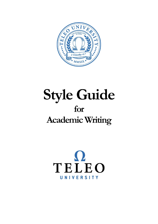

# **Style Guide for Academic Writing**

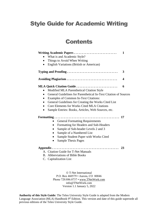# Style Guide for Academic Writing

# **Contents**

| Writing Academic Papers                                                                                                                    | 1                       |
|--------------------------------------------------------------------------------------------------------------------------------------------|-------------------------|
| What is and Academic Style?                                                                                                                |                         |
| Things to Avoid When Writing                                                                                                               |                         |
| English Variations (British or American)<br>$\bullet$                                                                                      |                         |
| Typing and Proofing                                                                                                                        | 3                       |
| Avoiding Plagiarism                                                                                                                        | $\overline{\mathbf{4}}$ |
| <b>MLA Quick Citation Guide </b>                                                                                                           | 6                       |
| Modified MLA Parenthetical Citation Style<br>$\bullet$                                                                                     |                         |
| General Guidelines for Parenthetical In-Text Citation of Sources<br>$\bullet$<br><b>Examples of Common In-Text Citations:</b><br>$\bullet$ |                         |
| General Guidelines for Creating the Works Cited List                                                                                       |                         |
| Core Elements for Works Cited MLA Citations<br>$\bullet$                                                                                   |                         |
| Sample Entries: Books, Articles, Web Sources, etc.                                                                                         |                         |
|                                                                                                                                            |                         |
| <b>General Formatting Requirements</b>                                                                                                     |                         |
| Formatting for Headers and Sub-Headers                                                                                                     |                         |
| Sample of Sub-header Levels 2 and 3                                                                                                        |                         |
| Sample of a Numbered List                                                                                                                  |                         |
| Sample Student Paper with Works Cited                                                                                                      |                         |
| <b>Sample Thesis Pages</b><br>$\bullet$                                                                                                    |                         |
|                                                                                                                                            | 23                      |
| A. Citation Guide for T-Net Manuals                                                                                                        |                         |
| B. Abbreviations of Bible Books                                                                                                            |                         |
| C. Capitalization List                                                                                                                     |                         |
|                                                                                                                                            |                         |

© T-Net International P.O. Box 460579 • Aurora, CO 80046 Phone 720.886.0737 [• www.TNetWork.com](http://www.tnetwork.com/) info@TNetWork.com Version 1.1 January 5, 2022

**Authority of this Style Guide:** The Teleo University Style Guide is adapted from the Modern Language Association (MLA) Handbook 9<sup>th</sup> Edition. This version and date of this guide supersede all previous editions of the Teleo University Style Guide.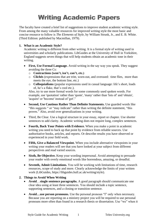# Writing Academic Papers

The faculty have created a brief list of suggestions to improve student academic writing style. From among the many valuable resources for improved writing style the most basic and concise resource to follow is *The Elements of Style*, by William Strunk, Jr., and E. B. White. (Third Edition: published by Macmillan, 1979).

#### **1. What is an Academic Style?**

Academic writing is different from other writing. It is a formal style of writing used in universities and scholarly publications. LibGuides at the University of Hull in Yorkshire, England suggests seven things that will help students obtain an academic tone in their writing.

- **First, Use Formal Language.** Avoid writing in the say way you speak. They suggest avoiding the three Cs:
	- o **Contractions (won't, isn't, can't, etc.)**
	- o **Clichés** (expressions that are trite, worn-out, and overused: time flies, more than meets the eye, the bottom line, etc.)
	- o **Colloquialisms** (popular expressions used in casual language: life's short, loads of, he's a flake, that's cool etc.).

Also, try to use more formal words for some commonly used spoken words. For example, use 'quotation' rather than 'quote', 'many' rather than 'lots of' and 'obtain', 'acquire' or 'become' instead of 'get'."

- **Second, Use Cautious Rather Than Definite Statements.** Use guarded words like "this suggests " or "may indicate" rather than writing the definite statement, "this proves." Also, avoid over generalizations in your writing.
- Third, Be Clear. Use a logical structure in your essay, report or chapter. Use shorter sentences to add clarity. Academic writing does not require long, complex sentences.
- **Fourth, Back Your Points with Evidence.** When you make a point in academic writing you need to back up that point by evidence from reliable sources. Use authoritative books, articles, and reports. Or describe results you have observed or experienced in your field work.
- **Fifth, Give a Balanced Viewpoint.** When you include alternative viewpoints in your writing your readers will see that you have looked at your subject from different perspectives and read varied sources.
- **Sixth, Be Objective.** Keep your wording impersonal. Avoid attempting to persuade your reader with overly emotional words like horrendous, amazing, or dreadful.
- **Seventh, Admit Limitations.** You will be working with limitations of time, research resources, scope of study and more. Clearly acknowledge the limits of your written work (LibGuides, https://libguides.hull.ac.uk/writing/style).

#### **2. Things to Avoid When Writing**

- **Avoid**…single sentence paragraphs. A good paragraph should communicate one clear idea using at least three sentences. You should include a topic sentence, supporting sentences, and a closing or transition sentence.
- **Avoid…use person pronouns.** Use the personal pronoun "I" only when necessary. Because you are reporting on a ministry project you will be required to use personal pronouns more often than found in a research thesis or dissertation. Use "we" when it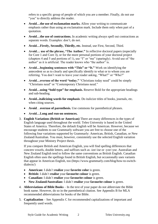refers to a specific group of people of which you are a member. Finally, do not use "you" to directly address the reader.

- **Avoid…the use of exclamation marks.** Allow your writing to communicate emphasis rather than using an exclamation mark. Include them only when part of a quotation.
- **Avoid…the use of contractions.** In academic writing always spell out contractions as separate words. Examples: don't, do not.
- **Avoid…Firstly, Secondly, Thirdly, etc.** Instead, use First, Second, Third.
- **Avoid... use of the phrase, "The Author."** In reflective doctoral papers (especially for Core 1 and Core 3), or for the more personal portions of your doctoral project (chapters 4 and 5 and portions of 1), use "I" or "me" (sparingly). Avoid use of "the author" as it is artificial. The reader knows who "the author" is.
- **Avoid…beginning sentences with "This" or "It."** Work on identifying the antecedent so as to clearly and specifically identify to what or to whom you are referring. You don't want to leave your reader asking, "What?" or "Who?"
- **Avoid...overuse of the word "today."** "Christians today need" could be simply "Christians need" or "Contemporary Christians need."
- **Avoid…using "bold type" for emphasis.** Reserve Bold for the appropriate headings and sub-heading.
- **Avoid...italicizing words for emphasis**. Do italicize titles of books, journals, etc. when citing sources.
- **Avoid**…**overuse of parenthesis.** Use commons for parenthetical phrases.
- **Avoid…Long and run-on sentences.**
- 3. **English Variations (British or American)** There are many differences in the types of English language used throughout the world. Teleo University is based in the United States of America. Therefore, the default English will be American. However, because we encourage students to use Grammarly software you are free to choose one of the following four variations supported by Grammarly: American, British, Canadian, or New Zealand/Australian. You must, however, consistently use the selected English variation throughout your Ministry Project thesis.

If you compare British and American English, you will find spelling differences that concern vowels, double letters, and suffixes such as -ize/-ise or -yze/-yse. Australian and New Zealand English tend to follow the same conventions as British English. Canadian English often uses the spellings found in British English, but occasionally uses variants that appear in American English, too (https://www.grammarly.com/blog/how-to-switchdialects/)

- **American:** I didn't **realize** your **favorite color** is green.
- **British:** I didn't **realise** your **favourite colour** is green.
- **Canadian:** I didn't **realize** your **favourite colour** is green.
- **New Zealand/Australian:** I didn't **realise** your **favourite colour** is green.
- 4. **Abbreviations of Bible Books** In the text of your paper do not abbreviate the Bible book name. However, do so in the parenthetical citation. See Appendix B for MLA recommended abbreviations for books of the Bible.
- 5. **Capitalization** See Appendix C for recommended capitalizations of important and frequently used words.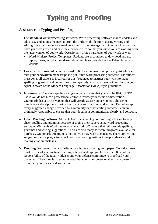# Typing and Proofing

#### **Assistance in Typing and Proofing**

- 1. **Use standard word processing software.** Word processing software makes updates and edits easy and avoids the need to print the drafts multiple times during writing and editing. Be sure to save your work to a thumb drive, storage card, internet cloud or disk. Save your work often and date the electronic files so that you know you are working with the latest version of your work. Occasionally print a hard copy of your work as well.
	- Word Ministry Project Templates. Students are encouraged to download and use report, thesis, and doctoral dissertation templates provided at the Teleo University website.
- 2. **Use a Typist if needed.** You may need to find a volunteer or employ a typist who can take your handwritten manuscript and put it into word processing software. The student must cover all expenses incurred for this. You need to instruct your typist to make spelling or grammatical corrections or to type only what you have written. Be sure your typist is aware of the Modern Language Association (MLA) style guidelines.
- 3. **Grammarly.** There is a spelling and grammar software that you will be REQUIRED to use if you do not hire a professional editor to review your thesis or dissertation. Grammarly has a FREE version that will greatly assist you or you may choose to purchase a subscription to during the final stages of writing and editing. Do not accept every suggested change provided by Grammarly or other editing software. You are ultimately responsible to ensure that your document communicates clearly and correctly.
- 4. **Other Proofing Software.** Students have the advantage of proofing software to help check spelling and grammar because of typing their papers using word processing software. Microsoft Word has an excellent "Editor" feature that will provide spelling, grammar and writing suggestions. There are also many software programs available for purchase. Grammarly Premium is the first you may wish to consider. There are writing suggestions and a plagiarism check with citation suggestions to help students avoid making citation mistakes.
- 5. **Proofing.** Software is not a substitute for a human proofing your paper. Your document must be free of grammatical, spelling, citation and typographical errors. It is not the responsibility of the faculty adviser and your defense committee to proofread your document. Therefore, it is recommended that you have someone other than yourself proofread your thesis or dissertation.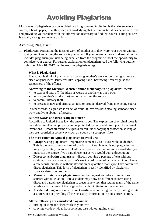# Avoiding Plagiarism

Most cases of plagiarism can be avoided by citing sources. A citation is the reference to a source, a book, paper, or author, etc., acknowledging that certain material has been borrowed and providing your readers with the information necessary to find that source. Citing sources is usually enough to prevent plagiarism.

#### **Avoiding Plagiarism**

1. **Plagiarism.** Presenting the ideas or work of another as if they were your own or without giving credit and citing the source is plagiarism. If you present a thesis or dissertation that includes plagiarism you risk being expelled from the program without the opportunity to complete your degree. For further explanation on plagiarism read the following outline published May 18, 2017, by the website, plagiarism.org.

#### **What is Plagiarism?**

Many people think of plagiarism as copying another's work or borrowing someone else's original ideas. But terms like "copying" and "borrowing" can disguise the seriousness of the offense:

#### **According to the Merriam-Webster online dictionary, to "plagiarize" means:**

- to steal and pass off (the ideas or words of another) as one's own
- to use (another's production) without crediting the source
- to commit literary theft
- to present as new and original an idea or product derived from an existing source

In other words, plagiarism is an act of fraud. It involves both stealing someone else's work and lying about it afterward.

#### **But can words and ideas really be stolen?**

According to United States law, the answer is yes. The expression of original ideas is considered intellectual property and is protected by copyright laws, just like original inventions. Almost all forms of expression fall under copyright protection as long as they are recorded in some way (such as a book or a computer file).

#### **The most common types of plagiarism to avoid are:**

- **Paraphrasing plagiarism** rephrasing someone else's ideas without citation. This is the most common form of plagiarism. Paraphrasing is not plagiarism as long as you cite your sources. Unless the specific idea is common knowledge, you must cite the source if you paraphrase just as you would with a direct quote.
- **Direct or verbatim plagiarism** directly copying a passage of text without citation. If you use another person's work word for word or even delete or change a few words, but do so without attribution or quotation marks you have committed direct plagiarism. This form of plagiarism is easily identified by plagiarism software detection programs.
- **Mosaic or patchwork plagiarism** combining text and ideas from various sources without citation. Here a student may draw on different sources using direct and paraphrase plagiarism to create a new text that retains many of the same words and structures of the original but without citation of the sources.
- **Accidental plagiarism or incorrect citations** not citing correctly, failing to cite a source, or not providing all the necessary information in you source citation.

#### **All the following are considered plagiarism:**

- turning in someone else's work as your own
- copying words or ideas from someone else without giving credit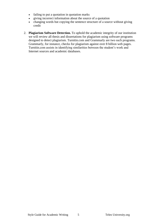- failing to put a quotation in quotation marks
- giving incorrect information about the source of a quotation
- changing words but copying the sentence structure of a source without giving credit
- 2. **Plagiarism Software Detection.** To uphold the academic integrity of our institution we will review all thesis and dissertations for plagiarism using software programs designed to detect plagiarism. Turnitin.com and Grammarly are two such programs. Grammarly, for instance, checks for plagiarism against over 8 billion web pages. Turnitin.com assists in identifying similarities between the student's work and Internet sources and academic databases.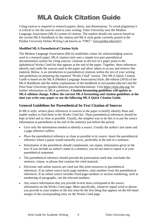# MLA Quick Citation Guide

Citing sources is required in research papers, thesis, and dissertations. To avoid plagiarism it is critical to cite the sources used in your writing. Teleo University uses the Modern Language Association (MLA) system of citation. The student should cite sources based on the current MLA Handbook or the citation and MLA style guide currently posted at the Purdue University Online Writing Lab known as "OWL" [\(owl.purdue.edu/owl/\)](https://owl.purdue.edu/owl/).

#### **Modified MLA Parenthetical Citation Style**

The Modern Language Association (MLA) establishes values for acknowledging sources used in a research paper. MLA citation style uses a simple two-part parenthetical documentation system for citing sources: citations in the text of a paper point to the alphabetical Works Cited list that appears at the end of the paper. Together, these references identify and credit the sources used in the paper and allow others to access and retrieve this material. Below, is an introduction to parenthetical citations within the text of your writing and guidelines on preparing the required "Works Cited" section. This MLA Quick Citation Guide is based on the MLA (Modern Language Association) Style, 8th edition (2016) of the MLA Handbook and the online explanations of the handbook at owl.purdue.edu/owl and the Penn State University (guides.libraries.psu.edu/mlacitation). Visit https://style.mla.org/ for further information on MLA guidelines. **Citation formatting guidelines will update as MLA editions change. Follow the current MLA formatting and citation guidelines at the time you write your paper or use the following MLA Quick Citation Guide.** 

#### **General Guidelines for Parenthetical In-Text Citation of Sources**

In MLA style, writers place references to sources in the paper to briefly identify them and enable readers to find them in the Works Cited list. These parenthetical references should be kept as brief and as clear as possible. Usually, the simplest way to do this is to put the source information in parentheses at the end of the sentence just before the period.

- Give only the information needed to identify a source. Usually the author's last name and a page reference suffice.
- Place the parenthetical reference as close as possible to its source. Insert the parenthetical reference where a pause would naturally occur, preferably at the end of a sentence.
- Information in the parenthesis should complement, not repeat, information given in the text. If you include an author's name in a sentence, you do not need to repeat it in your parenthetical statement.
- The parenthetical reference should precede the punctuation mark that concludes the sentence, clause, or phrase that contains the cited material.
- Electronic and online sources are cited just like print resources in parenthetical references. If an online source lacks page numbers, omit numbers from the parenthetical references. If an online source includes fixed page numbers or section numbering, such as numbering of paragraphs, cite the relevant numbers.
- Any source information that you provide in-text must correspond to the source information on the Works Cited page. More specifically, whatever signal word or phrase you provide to your readers in the text must be the first thing that appears on the left-hand margin of the corresponding entry on the Works Cited page.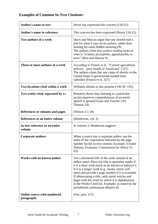### **Examples of Common In-Text Citations:**

| <b>Author's name in-text</b>                     | Dover has expressed this concern (118-21).                                                                                                                                                                                                                                                                                                                                                                                                                                        |
|--------------------------------------------------|-----------------------------------------------------------------------------------------------------------------------------------------------------------------------------------------------------------------------------------------------------------------------------------------------------------------------------------------------------------------------------------------------------------------------------------------------------------------------------------|
| <b>Author's name in reference</b>                | This concern has been expressed (Dover 118-21).                                                                                                                                                                                                                                                                                                                                                                                                                                   |
| Two authors of a work                            | Davis and Marcus argue that one should read a<br>text for what it says on its surface, rather than<br>looking for some hidden meaning (9).<br>The authors claim that surface reading looks at<br>what is "evident, perceptible, apprehensible in<br>texts" (Best and Marcus 9).                                                                                                                                                                                                   |
| Three or more authors of a work                  | According to Franck et al., "Current agricultural<br>policiespoor health of Americans" (327).<br>The authors claim that one cause of obesity in the<br>United States is government-funded farm<br>subsidies (Franck et al. 327).                                                                                                                                                                                                                                                  |
| Two locations cited within a work                | Williams alludes to this premise (136-39, 145).                                                                                                                                                                                                                                                                                                                                                                                                                                   |
| Two works cited, separated by a;                 | Research shows that listening to a particular<br>accent improves comprehension of accented<br>speech in general (Gass and Varonis 143;<br>Thomas 24).                                                                                                                                                                                                                                                                                                                             |
| References to volumes and pages                  | (Wilson 2:1-18)                                                                                                                                                                                                                                                                                                                                                                                                                                                                   |
| References to an entire volume                   | (Henderson, vol. 3)                                                                                                                                                                                                                                                                                                                                                                                                                                                               |
| In-text reference to an entire<br>volume         | In volume 3, Henderson suggests                                                                                                                                                                                                                                                                                                                                                                                                                                                   |
| <b>Corporate authors</b>                         | When a source has a corporate author, use the<br>name of the corporation followed by the page<br>number for the in-text citation. Example: (United<br>Nations, Economic Commission for Africa 51-<br>63)                                                                                                                                                                                                                                                                          |
| Works with no known author                       | Use a shortened title of the work instead of an<br>author name. Place the title in quotation marks if<br>it is a short work (such as an article) or italicize it<br>if it is a longer work (e.g., books, entire web<br>sites) and provide a page number if it is available.<br>If abbreviating a title, omit initial articles and<br>begin with the word by which it is alphabetized<br>in the Works Cited list. Example: as stated by the<br>presidential commission (Report 4). |
| <b>Online source with numbered</b><br>paragraphs | $(Fox, pars. 4-5)$                                                                                                                                                                                                                                                                                                                                                                                                                                                                |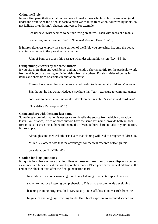#### **Citing the Bible**

In your first parenthetical citation, you want to make clear which Bible you are using (and underline or italicize the title), as each version varies in its translation, followed by book (do not italicize or underline), chapter, and verse. For example:

Ezekiel saw "what seemed to be four living creatures," each with faces of a man, a

lion, an ox, and an eagle (*English Standard Version*, Ezek. 1.5-10).

If future references employ the same edition of the Bible you are using, list only the book, chapter, and verse in the parenthetical citation:

John of Patmos echoes this passage when describing his vision (Rev. 4.6-8).

#### **Citing multiple works by the same author**

If you cite more than one work by an author, include a shortened title for the particular work from which you are quoting to distinguish it from the others. Put short titles of books in italics and short titles of articles in quotation marks.

Murray has argued that computers are not useful tools for small children (*Too Soon*

38), though he has acknowledged elsewhere that "early exposure to computer games

does lead to better small motor skill development in a child's second and third year"

("Hand-Eye Development" 17).

#### **Citing authors with the same last name**

Sometimes more information is necessary to identify the source from which a quotation is taken. For instance, if two or more authors have the same last name, provide both authors' first initials (or even the authors' full name if different authors share initials) in your citation. For example:

Although some medical ethicists claim that cloning will lead to designer children (R.

Miller 12), others note that the advantages for medical research outweigh this

consideration (A. Miller 46).

#### **Citation for long quotations**

For quotations that are more than four lines of prose or three lines of verse, display quotations as an indented block of text and omit quotation marks. Place your parenthetical citation at the end of the block of text, after the final punctuation mark.

In addition to awareness-raising, practicing listening to accented speech has been

shown to improve listening comprehension. This article recommends developing

listening training programs for library faculty and staff, based on research from the

linguistics and language teaching fields. Even brief exposure to accented speech can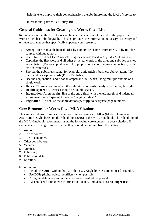help listeners improve their comprehension, thereby improving the level of service to

international patrons. (O'Malley 19)

#### **General Guidelines for Creating the Works Cited List**

References cited in the text of a research paper must appear at the end of the paper in a Works Cited list or bibliography. This list provides the information necessary to identify and retrieve each source that specifically supports your research.

- Arrange entries in alphabetical order by authors' last names (surnames), or by title for sources without authors.
- Cite T-Net Tier 1 and Tier 2 manuals using the citations found in Appendix A of this Guide.
- Capitalize the first word and all other principal words of the titles and subtitles of cited works listed. (Do not capitalize articles, prepositions, coordinating conjunctions, or the "to" in infinitives.)
- Shorten the publisher's name; for example, omit articles, business abbreviations (Co., Inc.), and descriptive words (Press, Publisher).
- Use the conjunction "and," not an ampersand  $[\&]$ , when listing multiple authors of a single work.
- **Italics:** Choose a font in which the italic style contrasts clearly with the regular style.
- **Double-spaced:** All entries should be double-spaced.
- **Indentation:** Align the first line of the entry flush with the left margin and indent all subsequent lines (5 spaces) to form a "hanging indent."
- **Pagination:** Do not use the abbreviations **p.** or **pp.** to designate page numbers.

#### **Core Elements for Works Cited MLA Citations**

This guide contains examples of common citation formats in MLA (Modern Language Association) Style, based on the 8th edition (2016) of the MLA Handbook. The 8th edition of the MLA Handbook recommends using the following core elements in every citation. If elements are missing from the source, they should be omitted from the citation.

- 1. Author.
- 2. Title of source.
- 3. Title of container,
- 4. Other contributors,
- 5. Version,
- 6. Number,
- 7. Publisher,
- 8. Publication date.
- 9. Location.

For online sources:

- Include the URL (without http:// or https://). Angle brackets are not used around it.
- Use DOIs (digital object identifiers) when possible.
- Citing the date when an online work was consulted is optional.
- Placeholders for unknown information like n.d. ("no date") are **no longer used**.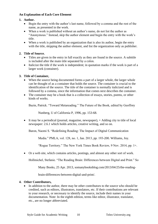#### **An Explanation of Each Core Element**

#### **1. Author.**

- Begin the entry with the author's last name, followed by a comma and the rest of the name, as presented in the work.
- When a work is published without an author's name, do not list the author as "Anonymous." Instead, skip the author element and begin the entry with the work's title.
- When a work is published by an organization that is also its author, begin the entry with the title, skipping the author element, and list the organization only as publisher.

#### **2. Title of Source.**

- Titles are given in the entry in full exactly as they are found in the source. A subtitle is included after the main title separated by a colon.
- Italicize the title if the work is independent; in quotation marks if the work is part of a larger work (container).

#### **3. Title of Container,**

- When the source being documented forms a part of a larger whole, the larger whole can be thought of as a container that holds the source. The container is crucial to the identification of the source. The title of the container is normally italicized and is followed by a comma, since the information that comes next describes the container.
- The container may be a book that is a collection of essays, stories, poems, or other kinds of works.

Bazin, Patrick. "Toward Metareading." The Future of the Book, edited by Geoffrey

Nunberg, U of California P, 1996, pp. 153-68.

• It may be a periodical (journal, magazine, newspaper), + Adding city to title of local newspaper: 2.6.1 which holds articles, creative writing, and so on.

Baron, Naomi S. "Redefining Reading: The Impact of Digital Communication

Media." PMLA, vol. 128, no. 1, Jan. 2013, pp. 193-200. Williams, Joy.

"Rogue Territory." The New York Times Book Review, 9 Nov. 2014, pp. 1+.

• Or a web site, which contains articles, postings, and almost any other sort of work.

Hollmichel, Stefanie. "The Reading Brain: Differences between Digital and Print." So

Many Books, 25 Apr. 2013, somanybooksblog.com/2013/04/25/the-reading-

brain-differences-between-digital-and-print/.

#### **4. Other Contributors,**

• In addition to the author, there may be other contributors to the source who should be credited, such as editors, illustrators, translators, etc. If their contributions are relevant to your research, or necessary to identify the source, include their names in your documentation. Note: In the eighth edition, terms like editor, illustrator, translator, etc., are no longer abbreviated.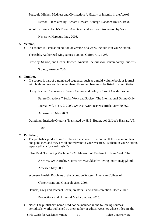Foucault, Michel. Madness and Civilization: A History of Insanity in the Age of

Reason. Translated by Richard Howard, Vintage-Random House, 1988.

Woolf, Virginia. Jacob's Room. Annotated and with an introduction by Vara

Neverow, Harcourt, Inc., 2008.

#### **5. Version,**

• If a source is listed as an edition or version of a work, include it in your citation.

The Bible. Authorized King James Version, Oxford UP, 1998.

Crowley, Sharon, and Debra Hawhee. Ancient Rhetoricsfor Contemporary Students.

3rd ed., Pearson, 2004.

#### **6. Number,**

• If a source is part of a numbered sequence, such as a multi-volume book or journal with both volume and issue numbers, those numbers must be listed in your citation.

Dolby, Nadine. "Research in Youth Culture and Policy: Current Conditions and

Future Directions." Social Work and Society: The International Online-Only

Journal, vol. 6, no. 2, 2008, www.socwork.net/sws/article/view/60/362.

Accessed 20 May 2009.

Quintilian. Institutio Oratoria. Translated by H. E. Butler, vol. 2, Loeb-Harvard UP,

1980.

#### **7. Publisher,**

• The publisher produces or distributes the source to the public. If there is more than one publisher, and they are all are relevant to your research, list them in your citation, separated by a forward slash (/).

Klee, Paul. Twittering Machine. 1922. Museum of Modern Art, New York. The

Artchive, www.artchive.com/artchive/K/klee/twittering\_machine.jpg.html.

Accessed May 2006.

Women's Health: Problems of the Digestive System. American College of

Obstetricians and Gynecologists, 2006.

Daniels, Greg and Michael Schur, creators. Parks and Recreation. Deedle-Dee

Productions and Universal Media Studios, 2015.

• Note: The publisher's name need not be included in the following sources: periodicals, works published by their author or editor, websites whose titles are the

Style Guide for Academic Writing 11 Teleo University.org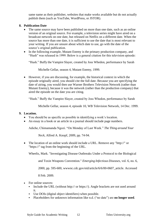same name as their publisher, websites that make works available but do not actually publish them (such as YouTube, WordPress, or JSTOR).

#### **8. Publication Date**

- The same source may have been published on more than one date, such as an online version of an original source. For example, a television series might have aired on a broadcast network on one date, but released on Netflix on a different date. When the source has more than one date, it is sufficient to use the date that is most relevant to your writing. If you are unsure about which date to use, go with the date of the source's original publication.
- In the following example, Mutant Enemy is the primary production company, and "Hush" was released in 1999. Below is a general citation for this television episode:

"Hush." Buffy the Vampire Slayer, created by Joss Whedon, performance by Sarah

Michelle Gellar, season 4, Mutant Enemy, 1999.

• However, if you are discussing, for example, the historical context in which the episode originally aired, you should cite the full date. Because you are specifying the date of airing, you would then use Warner Brothers Television Network (rather than Mutant Enemy), because it was the network (rather than the production company) that aired the episode on the date you are citing.

"Hush." Buffy the Vampire Slayer, created by Joss Whedon, performance by Sarah

Michelle Gellar, season 4, episode 10, WB Television Network, 14 Dec. 1999.

#### **9. Location.**

- You should be as specific as possible in identifying a work's location.
- An essay in a book or an article in a journal should include page numbers.

Adiche, Chimamanda Ngozi. "On Monday of Last Week." *The Thing around Your*

*Neck*, Alfred A. Knopf, 2009, pp. 74-94.

• The location of an online work should include a URL. Remove any "http://" or "https://" tag from the beginning of the URL.

Wheelis, Mark. "Investigating Disease Outbreaks Under a Protocol to the Biological

and Toxin Weapons Convention." *Emerging Infectious Diseases*, vol. 6, no. 6,

2000, pp. 595-600, wwwnc.cdc.gov/eid/article/6/6/00-0607\_article. Accessed

8 Feb. 2009.

- For online sources:
	- Include the URL (without http:// or https://). Angle brackets are not used around it.
	- Use DOIs (digital object identifiers) when possible.
	- Placeholders for unknown information like n.d. ("no date") are **no longer used**.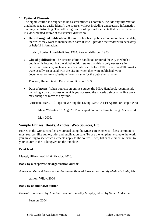#### **10. Optional Elements**

The eighth edition is designed to be as streamlined as possible. Include any information that helps readers easily identify the source, without including unnecessary information that may be distracting. The following is a list of optional elements that can be included in a documented source at the writer's discretion.

• **Date of original publication:** If a source has been published on more than one date, the writer may want to include both dates if it will provide the reader with necessary or helpful information.

Erdrich, Louise. Love Medicine. 1984. Perennial-Harper, 1993.

• **City of publication:** The seventh edition handbook required the city in which a publisher is located, but the eighth edition states that this is only necessary in particular instances, such as in a work published before 1900. Since pre-1900 works were usually associated with the city in which they were published, your documentation may substitute the city name for the publisher's name.

Thoreau, Henry David. Excursions. Boston, 1863.

• **Date of access:** When you cite an online source, the MLA Handbook recommends including a date of access on which you accessed the material, since an online work may change or move at any time.

Bernstein, Mark. "10 Tips on Writing the Living Web." A List Apart: For People Who

Make Websites, 16 Aug. 2002, alistapart.com/article/writeliving. Accessed 4

May 2009.

#### **Sample Entries: Books, Articles, Web Sources, Etc.**

Entries in the works cited list are created using the MLA core elements—facts common to most sources, like author, title, and publication date. To use the template, evaluate the work you are citing to see which elements apply to the source. Then, list each element relevant to your source in the order given on the template.

#### **Print book**

Mantel, Hilary. *Wolf Hall*. Picador, 2010.

#### **Book by a corporate or organization author**

American Medical Association. *American Medical Association Family Medical Guide,* 4th

edition, Wiley, 2004.

#### **Book by an unknown author**

*Beowulf*. Translated by Alan Sullivan and Timothy Murphy, edited by Sarah Anderson,

Pearson, 2004.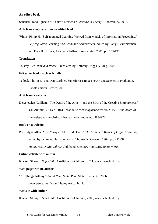#### **An edited book**

Sánchez Prado, Ignacio M., editor. *Mexican Literature in Theory*. Bloomsbury, 2018.

#### **Article or chapter within an edited book**

Winne, Philip H. "Self-regulated Learning Viewed from Models of Information Processing." *Self-regulated Learning and Academic Achievement,* edited by Barry J. Zimmerman and Dale H. Schunk, Lawrence Erlbaum Associates, 2001, pp. 153-190.

#### **Translation**

Tolstoy, Leo. *War and Peace.* Translated by Anthony Briggs, Viking, 2006.

#### **E-Reader book (such as Kindle)**

Tetlock, Phillip E., and Dan Gardner. Superforecasting: The Art and Science of Prediction. Kindle edition, Crown, 2015.

#### **Article on a website**

Deresiewicz, William. "The Death of the Artist—and the Birth of the Creative Entrepreneur." *The Atlantic*, 28 Dec. 2014, theatlantic.com/magazine/archive/2015/01/ the-death-ofthe-artist-and-the-birth-of-thecreative-entrepreneur/383497/.

#### **Book on a website**

Poe, Edgar Allan. "The Masque of the Red Death." *The Complete Works of Edgar Allan Poe*, edited by James A. Harrison, vol. 4, Thomas Y. Crowell, 1902, pp. 250-58. *HathiTrust Digital Library*, hdl.handle.net/2027/coo.31924079574368.

#### **Entire website with author**

Kraizer, Sherryll. *Safe Child.* Coalition for Children, 2011, www.safechild.org.

#### **Web page with no author**

"All Things Nittany." *About Penn State.* Penn State University, 2006,

www.psu.edu/ur/about/nittanymascot.html.

#### **Website with author**

Kraizer, Sherryll. Safe Child. Coalition for Children, 2008, www.safechild.org.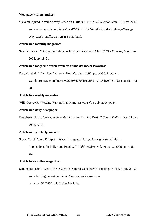#### **Web page with no author:**

"Several Injured in Wrong-Way Crash on FDR: NYPD." NBCNewYork.com, 13 Nov. 2014, www.nbcnewyork.com/news/local/NYC-FDR-Drive-East-Side-Highway-Wrong-Way-Crash-Traffic-Jam-282538721.html.

#### **Article in a monthly magazine:**

Swedin, Eric G. "Designing Babies: A Eugenics Race with China?" *The Futurist,* May/June 2006, pp. 18-21.

#### **Article in a magazine article from an online database: ProQuest**

- Poe, Marshall. "The Hive." *Atlantic Monthly*, Sept. 2006, pp. 86-95. ProQuest,
	- search.proquest.com/docview/223086760/1FF29321A1C34D09PQ/1?accountid=131 58.

#### **Article in a weekly magazine:**

Will, George F. "Waging War on Wal-Mart." *Newsweek,* 5 July 2004, p. 64.

#### **Article in a daily newspaper:**

Dougherty, Ryan. "Jury Convicts Man in Drunk Driving Death." *Centre Daily Times,* 11 Jan.

2006, p. 1A.

#### **Article in a scholarly journal:**

Stock, Carol D. and Philip A. Fisher. "Language Delays Among Foster Children:

Implications for Policy and Practice." *Child Welfare*, vol. 40, no. 3, 2006, pp. 445-

462.

#### **Article in an online magazine:**

Schumaker, Erin. "What's the Deal with 'Natural' Sunscreen?" Huffington Post, 5 July 2016, www.huffingtonpost.com/entry/does-natural-sunscreen-

work us 57767571e4b0a629c1a98df8.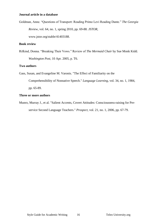#### **Journal article in a database**

Goldman, Anne. "Questions of Transport: Reading Primo Levi Reading Dante." *The Georgia Review*, vol. 64, no. 1, spring 2010, pp. 69-88. *JSTOR*,

www.jstor.org/stable/41403188.

#### **Book review**

Rifkind, Donna. "Breaking Their Vows." Review of *The Mermaid Chair* by Sue Monk Kidd. *Washington Post,* 10 Apr. 2005, p. T6.

#### **Two authors**

Gass, Susan, and Evangeline M. Varonis. "The Effect of Familiarity on the

Comprehensibility of Nonnative Speech." *Language Learning*, vol. 34, no. 1, 1984, pp. 65-89.

#### **Three or more authors**

Munro, Murray J., et al. "Salient Accents, Covert Attitudes: Consciousness-raising for Preservice Second Language Teachers." *Prospect*, vol. 21, no. 1, 2006, pp. 67-79.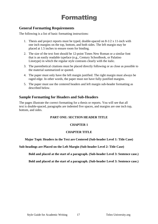# Formatting

#### **General Formatting Requirements**

The following is a list of basic formatting instructions:

- 1. Thesis and project reports must be typed, double-spaced on 8-1/2 x 11-inch with one inch margins on the top, bottom, and both sides. The left margin may be placed at 1.5 inches to ensure room for binding.
- 2. The size of the text font should be 12-point Times New Roman or a similar font that is an easily readable typeface (e.g., Century Schoolbook, or Palatino Linotype) in which the regular style contrasts clearly with the italic.
- 3. The parenthetical citations must be placed directly following or as close as possible to the material summarized or quoted.
- 4. The paper must only have the left margin justified. The right margin must always be raged edge. In other words, the paper must not have fully-justified margins.
- 5. The paper must use the centered headers and left margin sub-header formatting as described below.

#### **Sample Formatting for Headers and Sub-Headers**

The pages illustrate the correct formatting for a thesis or reports. You will see that all text is double-spaced, paragraphs are indented five spaces, and margins are one inch top, bottom, and sides.

#### **PART ONE: SECTION HEADER TITLE**

#### **CHAPTER 1**

#### **CHAPTER TITLE**

**Major Topic Headers in the Text are Centered (Sub-header Level 1: Title Case)**

**Sub-headings are Placed on the Left Margin (Sub-header Level 2: Title Case)**

**Bold and placed at the start of a paragraph. (Sub-header Level 3: Sentence case.)**

**Bold and placed at the start of a paragraph. (Sub-header Level 3: Sentence case.)**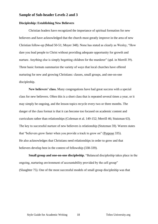#### **Sample of Sub-header Levels 2 and 3**

#### **Discipleship: Establishing New Believers**

Christian leaders have recognized the importance of spiritual formation for new believers and have acknowledged that the church must greatly improve in the area of new Christian follow-up (Mead 50-51; Moyer 348). None has stated as clearly as Wesley, "How dare you lead people to Christ without providing adequate opportunity for growth and nurture. Anything else is simply begetting children for the murderer" (qtd. in Merrill 39). Three basic formats summarize the variety of ways that local churches have offered nurturing for new and growing Christians: classes, small groups, and one-on-one discipleship.

**New believers' class.** Many congregations have had great success with a special class for new believers. Often this is a short class that is repeated several times a year, or it may simply be ongoing, and the lesson topics recycle every two or three months. The danger of the class format is that it can become too focused on academic content and curriculum rather than relationships (Coleman et al. 149-152; Merrill 46; Stutzman 63). The key to successful nurture of new believers is relationship (Stutzman 59). Warren states that "believers grow faster when you provide a track to grow on" (Purpose 335). He also acknowledges that Christians need relationships in order to grow and that believers develop best in the context of fellowship (338-339).

**Small group and one-on-one discipleship.** "Balanced discipleship takes place in the ongoing, nurturing environment of accountability provided by the cell group" (Slaughter 75). One of the most successful models of small group discipleship was that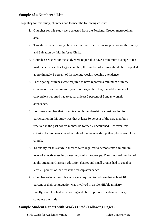#### **Sample of a Numbered List**

To qualify for this study, churches had to meet the following criteria:

- 1. Churches for this study were selected from the Portland, Oregon metropolitan area.
- 2. This study included only churches that hold to an orthodox position on the Trinity and Salvation by faith in Jesus Christ.
- 3. Churches selected for the study were required to have a minimum average of ten visitors per week. For larger churches, the number of visitors should have equaled approximately 1 percent of the average weekly worship attendance.
- 4. Participating churches were required to have reported a minimum of thirty conversions for the previous year. For larger churches, the total number of conversions reported had to equal at least 2 percent of Sunday worship attendance.
- 5. For those churches that promote church membership, a consideration for participation in this study was that at least 50 percent of the new members received in the past twelve months be formerly unchurched. However, this criterion had to be evaluated in light of the membership philosophy of each local church.
- 6. To qualify for this study, churches were required to demonstrate a minimum level of effectiveness in connecting adults into groups. The combined number of adults attending Christian education classes and small groups had to equal at least 25 percent of the weekend worship attendance.
- 7. Churches selected for this study were required to indicate that at least 10 percent of their congregation was involved in an identifiable ministry.
- 8. Finally, churches had to be willing and able to provide the data necessary to complete the study.

#### **Sample Student Report with Works Cited (Following Pages)**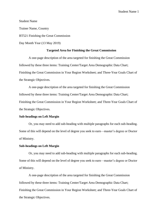Student Name Trainer Name, Country BT521 Finishing the Great Commission Day Month Year (13 May 2019)

#### **Targeted Area for Finishing the Great Commission**

A one-page description of the area targeted for finishing the Great Commission followed by these three items: Training Center/Target Area Demographic Data Chart; Finishing the Great Commission in Your Region Worksheet; and Three-Year Goals Chart of the Strategic Objectives.

A one-page description of the area targeted for finishing the Great Commission followed by these three items: Training Center/Target Area Demographic Data Chart; Finishing the Great Commission in Your Region Worksheet; and Three-Year Goals Chart of the Strategic Objectives.

#### **Sub-headings on Left Margin**

Or, you may need to add sub-heading with multiple paragraphs for each sub-heading. Some of this will depend on the level of degree you seek to earn—master's degree or Doctor of Ministry.

#### **Sub-headings on Left Margin**

Or, you may need to add sub-heading with multiple paragraphs for each sub-heading. Some of this will depend on the level of degree you seek to earn—master's degree or Doctor of Ministry.

A one-page description of the area targeted for finishing the Great Commission followed by these three items: Training Center/Target Area Demographic Data Chart; Finishing the Great Commission in Your Region Worksheet; and Three-Year Goals Chart of the Strategic Objectives.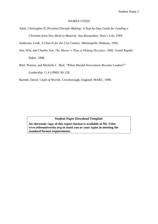#### WORKS CITED

Adsit, Christopher B. *Personal Disciple-Making: A Step-by-Step Guide for Leading a* 

*Christian from New Birth to Maturity*. San Bernardino: Here's Life, 1988.

Anderson, Leith. *A Church for the 21st Century*. Minneapolis: Bethany, 1992.

Arn, Win, and Charles Arn. *The Master's Plan of Making Disciples*. 1982. Grand Rapids: Baker, 1998.

Bird, Warren, and Michelle C. Bird. "When Should Newcomers Become Leaders?"

*Leadership* 11.4 (1990): 90-128.

Burnett, David. *Clash of Worlds*. Crowborough, England: MARC, 1990.

#### **Student Paper Download Template**

**An electronic copy of this report format is available at My Teleo www.teleouniversity.org to assist you or your typist in meeting the standard format requirements.**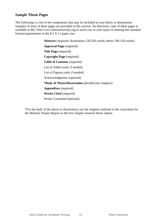#### **Sample Thesis Pages**

The following is a list of the components that may be included in your thesis or dissertation. Samples of most of these pages are provided in this section. An electronic copy of these pages is available at My Teleo www.teleouniversity.org to assist you or your typist in meeting the standard format requirements in the 8.5 X 11 paper size.

> **Abstract** (required: dissertation 150-350 words; thesis 100-150 words) **Approval Page** (required) **Title Page** (required) **Copyright Page** (required) **Table of Contents** (required) List of Tables (only if needed) List of Figures (only if needed) Acknowledgments (optional) **\*Body of Thesis/Dissertation** (divided into chapters) **Appendixes** (required) **Works Cited** (required) Works Consulted (optional)

\*For the body of the thesis or dissertation, use the chapters outlined in the curriculum for the Ministry Project Report or the five chapter research thesis option.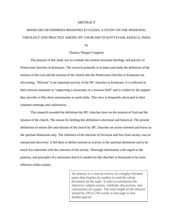#### ABSTRACT

# MISSIO DEI DETERMINES MISSIONES ECCLESIA: A STUDY ON THE MISSIONAL THEOLOGY AND PRACTICE AMONG IPC CHURCHES IN KOTTAYAM, KERALA, INDIA

by

#### Thomas Thoppil Varghese

The purpose of this study was to evaluate the current missional theology and practice of Pentecostal churches in Kottayam. The research primarily is to listen and study the definition of the mission of the God and the mission of the church that the Pentecostal churches in Kottayam are advocating. "Mission" is an important activity of the IPC churches in Kottayam. It is reflected in their mission statement as "supporting a missionary in a mission field" and is evident by the support they provide to fifty-three missionaries in north India. This view is frequently advocated in their common meetings and conferences.

This research revealed the definition the IPC churches have on the mission of God and the mission of the church. The reason for holding this definition is doctrinal and historical. The present definitions of *missio Dei* and mission of the church by IPC churches are action oriented and focus on the spiritual dimension only. The influence of the doctrine of *Parousia* and fear from society was an unexpected discovery. It led them to define mission as activity in the spiritual dimension and to be much less interested with the concerns of the society. Thorough information with regard to the patterns; and principles of a missional church is needed for the churches in Kottayam to be more effective within society.

> An abstract is a concise review of a lengthy finished paper that inspires its readers to read the whole document on the topic. It aims to summarize the objective, subject-matter, methods, discussions, and conclusions of a paper. The total length of the abstract should be 100 to 250 words or one page or less double-spaced.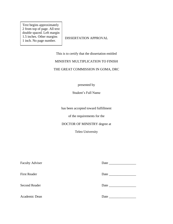Text begins approximately 2 from top of page. All text double spaced. Left margin 1.5 inches. Other margins 1 inch. No page number.

DISSERTATION APPROVAL

This is to certify that the dissertation entitled

#### MINISTRY MULTIPLICATION TO FINISH

#### THE GREAT COMMISSION IN GOMA, DRC

presented by

Student's Full Name

has been accepted toward fulfillment

of the requirements for the

#### DOCTOR OF MINISTRY degree at

Teleo University

| <b>Faculty Adviser</b> | Date |
|------------------------|------|
|                        |      |
| <b>First Reader</b>    | Date |
|                        |      |
| <b>Second Reader</b>   |      |
|                        |      |
| Academic Dean          | Date |
|                        |      |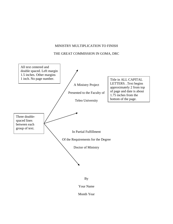#### MINISTRY MULTIPLICATION TO FINISH

#### THE GREAT COMMISSION IN GOMA, DRC





Month Year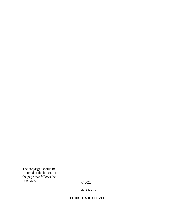The copyright should be centered at the bottom of the page that follows the title page.

**©** 2022

Student Name

#### ALL RIGHTS RESERVED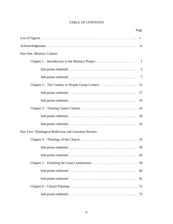#### TABLE OF CONTENTS

| Page                                                   |              |
|--------------------------------------------------------|--------------|
|                                                        | $\mathbf{V}$ |
|                                                        | vi           |
| Part One: Ministry Context                             |              |
|                                                        |              |
|                                                        | 2            |
|                                                        | 7            |
|                                                        | 15           |
|                                                        | 17           |
|                                                        | 19           |
|                                                        |              |
|                                                        | 30           |
|                                                        | 33           |
| Part Two: Theological Reflection and Literature Review |              |
|                                                        |              |
|                                                        | 39           |
|                                                        | 45           |
|                                                        |              |
|                                                        | 60           |
|                                                        | 65           |
|                                                        | 72           |
|                                                        | 75           |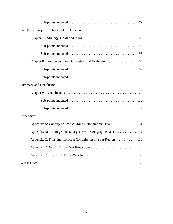|                                                               | 79 |
|---------------------------------------------------------------|----|
| Part Three: Project Strategy and Implementation               |    |
|                                                               | 86 |
|                                                               | 92 |
|                                                               | 98 |
| Chapter 8 – Implementation Description and Evaluation<br>104  |    |
| 107                                                           |    |
| 115                                                           |    |
| <b>Summary and Conclusion</b>                                 |    |
|                                                               |    |
| 122                                                           |    |
| 127                                                           |    |
| Appendixes                                                    |    |
| Appendix A: Country or People Group Demographic Data 131      |    |
| Appendix B: Training Center/Target Area Demographic Data 132  |    |
| Appendix C: Finishing the Great Commission in Your Region 133 |    |
|                                                               |    |
|                                                               |    |
|                                                               |    |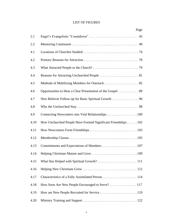#### LIST OF FIGURES

|      | Page                                                          |
|------|---------------------------------------------------------------|
| 2.1  |                                                               |
| 2.2  |                                                               |
| 4.1  |                                                               |
| 4.2  |                                                               |
| 4.3  |                                                               |
| 4.4  |                                                               |
| 4.5  |                                                               |
| 4.6  | Opportunities to Hear a Clear Presentation of the Gospel 89   |
| 4.7  | New Believer Follow-up for Basic Spiritual Growth 96          |
| 4.8  |                                                               |
| 4.9  | Connecting Newcomers into Vital Relationships 100             |
| 4.10 | How Unchurched People Have Formed Significant Friendships 102 |
| 4.11 |                                                               |
| 4.12 |                                                               |
| 4.13 |                                                               |
| 4.14 |                                                               |
| 4.15 |                                                               |
| 4.16 |                                                               |
| 4.17 |                                                               |
| 4.18 | How Soon Are New People Encouraged to Serve? 117              |
| 4.19 |                                                               |
| 4.20 |                                                               |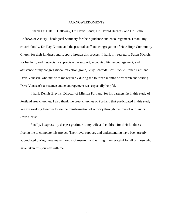#### ACKNOWLEDGMENTS

I thank Dr. Dale E. Galloway, Dr. David Bauer, Dr. Harold Burgess, and Dr. Leslie Andrews of Asbury Theological Seminary for their guidance and encouragement. I thank my church family, Dr. Ray Cotton, and the pastoral staff and congregation of New Hope Community Church for their kindness and support through this process. I thank my secretary, Susan Nichols, for her help, and I especially appreciate the support, accountability, encouragement, and assistance of my congregational reflection group, Jerry Schmidt, Carl Buckle, Renee Carr, and Dave Vanasen, who met with me regularly during the fourteen months of research and writing. Dave Vanasen's assistance and encouragement was especially helpful.

I thank Dennis Blevins, Director of Mission Portland, for his partnership in this study of Portland area churches. I also thank the great churches of Portland that participated in this study. We are working together to see the transformation of our city through the love of our Savior Jesus Christ.

Finally, I express my deepest gratitude to my wife and children for their kindness in freeing me to complete this project. Their love, support, and understanding have been greatly appreciated during these many months of research and writing. I am grateful for all of those who have taken this journey with me.

vi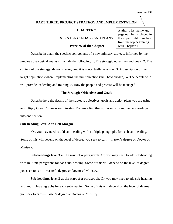#### **PART THREE: PROJECT STRATEGY AND IMPLEMENTATION**

#### **CHAPTER 7**

#### **STRATEGY: GOALS AND PLANS**

#### **Overview of the Chapter**

Author's last name and page number is placed in the upper right .5 inches from the top beginning with Chapter 1.

Describe in detail the specific components of a new ministry strategy, informed by the previous theological analysis. Include the following: 1. The strategic objectives and goals. 2. The content of the strategy, demonstrating how it is contextually sensitive. 3. A description of the target populations where implementing the multiplication (incl. how chosen). 4. The people who will provide leadership and training. 5. How the people and process will be managed

#### **The Strategic Objectives and Goals**

Describe here the details of the strategy, objectives, goals and action plans you are using to multiply Great Commission ministry. You may find that you want to combine two headings into one section.

#### **Sub-heading Level 2 on Left Margin**

Or, you may need to add sub-heading with multiple paragraphs for each sub-heading. Some of this will depend on the level of degree you seek to earn—master's degree or Doctor of Ministry.

**Sub-headings level 3 at the start of a paragraph.** Or, you may need to add sub-heading with multiple paragraphs for each sub-heading. Some of this will depend on the level of degree you seek to earn—master's degree or Doctor of Ministry.

**Sub-headings level 3 at the start of a paragraph.** Or, you may need to add sub-heading with multiple paragraphs for each sub-heading. Some of this will depend on the level of degree you seek to earn—master's degree or Doctor of Ministry.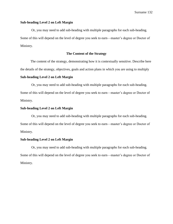#### **Sub-heading Level 2 on Left Margin**

Or, you may need to add sub-heading with multiple paragraphs for each sub-heading. Some of this will depend on the level of degree you seek to earn—master's degree or Doctor of Ministry.

#### **The Content of the Strategy**

The content of the strategy, demonstrating how it is contextually sensitive. Describe here the details of the strategy, objectives, goals and action plans in which you are using to multiply

#### **Sub-heading Level 2 on Left Margin**

Or, you may need to add sub-heading with multiple paragraphs for each sub-heading. Some of this will depend on the level of degree you seek to earn—master's degree or Doctor of Ministry.

#### **Sub-heading Level 2 on Left Margin**

Or, you may need to add sub-heading with multiple paragraphs for each sub-heading. Some of this will depend on the level of degree you seek to earn—master's degree or Doctor of Ministry.

#### **Sub-heading Level 2 on Left Margin**

Or, you may need to add sub-heading with multiple paragraphs for each sub-heading. Some of this will depend on the level of degree you seek to earn—master's degree or Doctor of Ministry.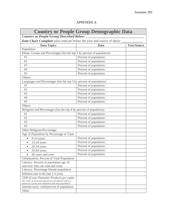#### APPENDIX A

| <b>Country or People Group Demographic Data</b>                                                                                                             |                        |                    |
|-------------------------------------------------------------------------------------------------------------------------------------------------------------|------------------------|--------------------|
| <b>Country or People Group Described Below:</b>                                                                                                             |                        |                    |
| <b>Date Chart Complete</b> (also indicate below the year and source of data):                                                                               |                        |                    |
| <b>Data Topics</b>                                                                                                                                          | Data                   | <b>Year/Source</b> |
| Population                                                                                                                                                  |                        |                    |
| Ethnic Groups and Percentages (list the top 5 by percent of population)                                                                                     |                        |                    |
| #1                                                                                                                                                          | Percent of population: |                    |
| #2                                                                                                                                                          | Percent of population: |                    |
| #3                                                                                                                                                          | Percent of population: |                    |
| #4                                                                                                                                                          | Percent of population: |                    |
| #5                                                                                                                                                          | Percent of population: |                    |
| Others:                                                                                                                                                     |                        |                    |
| Languages and Percentages (list the top 5 by percent of population)                                                                                         |                        |                    |
| #1                                                                                                                                                          | Percent of population: |                    |
| #2                                                                                                                                                          | Percent of population: |                    |
| #3                                                                                                                                                          | Percent of population: |                    |
| #4                                                                                                                                                          | Percent of population: |                    |
| #5                                                                                                                                                          | Percent of population: |                    |
| Others:                                                                                                                                                     |                        |                    |
| Religions and Percentages (list the top 4 by percent of population)                                                                                         |                        |                    |
| #1                                                                                                                                                          | Percent of population: |                    |
| #2                                                                                                                                                          | Percent of population: |                    |
| #3                                                                                                                                                          | Percent of population: |                    |
| #4                                                                                                                                                          | Percent of population: |                    |
| Other Religions/Percentage:                                                                                                                                 |                        |                    |
| Age of Population by Percentage of Total                                                                                                                    |                        |                    |
| $0-14$ years<br>$\bullet$                                                                                                                                   | Percent of population: |                    |
| $15-24$ years<br>$\bullet$                                                                                                                                  | Percent of population: |                    |
| $25-54$ years                                                                                                                                               | Percent of population: |                    |
| 55-64 years<br>$\bullet$                                                                                                                                    | Percent of population: |                    |
| • 65 years and over:                                                                                                                                        | Percent of population: |                    |
| Urbanization: Percent of Total Population                                                                                                                   |                        |                    |
| Literacy: Percent of population age 15                                                                                                                      |                        |                    |
| and over who can read and write                                                                                                                             |                        |                    |
| Literacy: Percentage literate population                                                                                                                    |                        |                    |
| Inflation rate in the last 1-3 years                                                                                                                        |                        |                    |
| GDP (Gross Domestic Product) per capita<br>The value of all goods and services produced within a<br>nation in a given year divided by the total population. |                        |                    |
| Internet users: total/percent of population                                                                                                                 |                        |                    |
| Other:                                                                                                                                                      |                        |                    |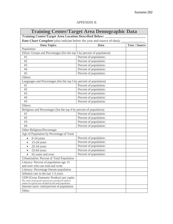#### APPENDIX B

### **Training Center/Target Area Demographic Data**

**Training Center/Target Area Location Described Below: \_\_\_\_\_\_\_\_\_\_\_\_\_\_\_\_\_\_\_\_\_\_\_\_\_** 

Date Chart Complete (also indicate below the year and source of data): \_\_\_\_\_\_\_\_\_

| <b>Data Topics</b>                                                                                                                                          | Data                   | <b>Year / Source</b> |
|-------------------------------------------------------------------------------------------------------------------------------------------------------------|------------------------|----------------------|
| Population                                                                                                                                                  |                        |                      |
| Ethnic Groups and Percentages (list the top 5 by percent of population)                                                                                     |                        |                      |
| #1                                                                                                                                                          | Percent of population: |                      |
| #2                                                                                                                                                          | Percent of population: |                      |
| #3                                                                                                                                                          | Percent of population: |                      |
| #4                                                                                                                                                          | Percent of population: |                      |
| #5                                                                                                                                                          | Percent of population: |                      |
| Others:                                                                                                                                                     |                        |                      |
| Languages and Percentages (list the top 5 by percent of population)                                                                                         |                        |                      |
| #1                                                                                                                                                          | Percent of population: |                      |
| #2                                                                                                                                                          | Percent of population: |                      |
| #3                                                                                                                                                          | Percent of population: |                      |
| #4                                                                                                                                                          | Percent of population: |                      |
| #5                                                                                                                                                          | Percent of population: |                      |
| Others:                                                                                                                                                     |                        |                      |
| Religions and Percentages (list the top 4 by percent of population)                                                                                         |                        |                      |
| #1                                                                                                                                                          | Percent of population: |                      |
| #2                                                                                                                                                          | Percent of population: |                      |
| #3                                                                                                                                                          | Percent of population: |                      |
| #4                                                                                                                                                          | Percent of population: |                      |
| Other Religions/Percentage:                                                                                                                                 |                        |                      |
| Age of Population by Percentage of Total                                                                                                                    |                        |                      |
| $0-14$ years<br>$\bullet$                                                                                                                                   | Percent of population: |                      |
| $15-24$ years<br>$\bullet$                                                                                                                                  | Percent of population: |                      |
| $25-54$ years                                                                                                                                               | Percent of population: |                      |
| 55-64 years<br>$\bullet$                                                                                                                                    | Percent of population: |                      |
| 65 years and over:                                                                                                                                          | Percent of population: |                      |
| Urbanization: Percent of Total Population                                                                                                                   |                        |                      |
| Literacy: Percent of population age 15                                                                                                                      |                        |                      |
| and over who can read and write                                                                                                                             |                        |                      |
| Literacy: Percentage literate population                                                                                                                    |                        |                      |
| Inflation rate in the last 1-3 years                                                                                                                        |                        |                      |
| GDP (Gross Domestic Product) per capita<br>The value of all goods and services produced within a<br>nation in a given year divided by the total population. |                        |                      |
| Internet users: total/percent of population                                                                                                                 |                        |                      |
| Other:                                                                                                                                                      |                        |                      |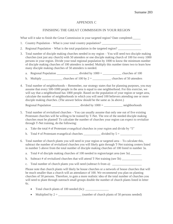#### APPENDIX C

#### FINISHING THE GREAT COMMISSION IN YOUR REGION

What will it take to finish the Great Commission in your targeted region? Date completed:

- 1. Country Population What is your total country population?
- 2. Regional Population What is the total population in the targeted region?
- 3. Total number of disciple making churches needed in my region You will need two disciple making churches (not just any church) with 50 attenders or one disciple making church of 100 for every 1000 persons in your region. Divide your total regional population by 1000 to know the minimum number of disciple making churches of 100 attenders is needed. Multiply this number times two to learn how many disciple making churches of 50 attenders is needed.
	- a. Regional Population  $\frac{1}{2}$  divided by  $1000 = \frac{1}{2}$  churches of 100
	- b. Multiply \_\_\_\_\_\_\_\_\_\_\_\_\_\_ churches of  $100 \text{ by } 2 =$  \_\_\_\_\_\_\_\_\_\_\_\_\_\_ churches of 50 attenders
- 4. Total number of neighborhoods **–** Remember, our strategy states that for planning purposes, you may assume that every 500-1000 people in the area is equal to one neighborhood. For this exercise, we will say that a neighborhood has 1000 people. Based on the population of your region or target area, calculate the number of neighborhoods in which you will need 100 believers attending one or more disciple making churches. (The answer below should be the same as 3a above.)

Regional Population \_\_\_\_\_\_\_\_\_\_\_\_\_\_\_\_\_\_\_\_\_\_\_ divided by  $1000 =$  \_\_\_\_\_\_\_\_\_\_\_\_\_\_\_\_\_ neighborhoods

- 5. Total number of revitalized churches You can usually assume that only one out of five existing Protestant churches will be willing to be trained by T-Net. The rest of the needed disciple making churches must be planted! To calculate the number of churches your region can expect to revitalize through T-Net training, do the following:
	- a. Take the total  $#$  of Protestant evangelical churches in your region and divide by "5"
	- b. Total # of Protestant evangelical churches \_\_\_\_\_\_\_\_\_\_\_ divided by 5 = \_\_\_\_\_\_\_\_\_\_\_\_\_\_
- 6. Total number of church plants you will need in your region or targeted area To calculate this, subtract the number of revitalized churches you will likely gain through T-Net training centers listed in number 5 above from the total number of disciple making churches of 100 listed in number 3a.
	- a. Total # of disciple making churches of 100 needed in region/target area (see 3a) \_\_\_\_\_\_\_\_\_\_\_\_\_\_\_
	- b. Subtract # of revitalized churches that will attend T-Net training (see 5b) \_\_\_\_\_\_\_\_\_\_\_\_\_\_\_\_\_\_\_\_\_
	- c. Total number of church plants you will need (subtract b from a):

Please note that church plants will likely be house churches or a network of house churches that will be much smaller than a church will an attendance of 100. We recommend you plan on planting churches of 50 persons. Therefore, to gain a more realistic idea of the total number of churches you will need to plant through outreach small groups double the number of church plants listed in letter 6c.

- Total church plants of 100 needed (6c): \_\_\_\_\_\_\_\_\_\_\_\_\_\_\_
- Multiplied by  $2 = \_$  (number of church plants of 50 persons needed)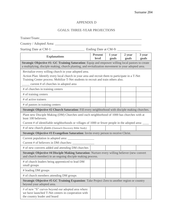#### APPENDIX D

#### GOALS: THREE-YEAR PROJECTIONS

| <b>Explanations</b>                                                                                                                                                                                                                                                                      | <b>Present</b><br>level | 1 year<br>goals | 2 year<br>goals | 3 year<br>goals |
|------------------------------------------------------------------------------------------------------------------------------------------------------------------------------------------------------------------------------------------------------------------------------------------|-------------------------|-----------------|-----------------|-----------------|
| <b>Strategic Objective #1: GC Training Saturation:</b> Equip and empower willing local pastors to create<br>a multiplying, disciple making, church planting, and revitalization movement in your adopted area.                                                                           |                         |                 |                 |                 |
| Revitalize every willing church in your adopted area.<br>Action Plan: Identify every local church in your area and recruit them to participate in a T-Net<br>Training Center process. Mobilize T-Net students to recruit and train others also.<br>current # of churches in adopted area |                         |                 |                 |                 |
| # of churches in training centers                                                                                                                                                                                                                                                        |                         |                 |                 |                 |
| # of training centers                                                                                                                                                                                                                                                                    |                         |                 |                 |                 |
| # of active trainers                                                                                                                                                                                                                                                                     |                         |                 |                 |                 |
| # of pastors in training centers                                                                                                                                                                                                                                                         |                         |                 |                 |                 |
| Strategic Objective #2 Church Saturation: Fill every neighborhood with disciple making churches.                                                                                                                                                                                         |                         |                 |                 |                 |
| Plant new Disciple Making (DM) Churches until each neighborhood of 1000 has churches with at<br>least 100 believers.<br>Current # of identifiable neighborhoods or villages of 1000 or fewer people in the adopted area:                                                                 |                         |                 |                 |                 |
| # of new church plants (Outreach Discovery Bible Study)                                                                                                                                                                                                                                  |                         |                 |                 |                 |
| Strategic Objective #3 Evangelism Saturation: Invite every person to receive Christ.                                                                                                                                                                                                     |                         |                 |                 |                 |
|                                                                                                                                                                                                                                                                                          |                         |                 |                 |                 |
| # of new converts added and attending DM churches                                                                                                                                                                                                                                        |                         |                 |                 |                 |
| Strategic Objective #4 Disciple Making Saturation: Nurture every willing believer (new convert<br>and church member) in an ongoing disciple making process.                                                                                                                              |                         |                 |                 |                 |
| # of church leaders being apprenticed to lead DM<br>small groups                                                                                                                                                                                                                         |                         |                 |                 |                 |
| # leading DM groups                                                                                                                                                                                                                                                                      |                         |                 |                 |                 |
| # of church members attending DM groups                                                                                                                                                                                                                                                  |                         |                 |                 |                 |
| <b>Strategic Objective #5 GC Training Expansion:</b> Take Project Zero to another region or country<br>beyond your adopted area.                                                                                                                                                         |                         |                 |                 |                 |
| # of new "S" curves beyond our adopted area where<br>we have launched T-Net centers in cooperation with<br>the country leader and board                                                                                                                                                  |                         |                 |                 |                 |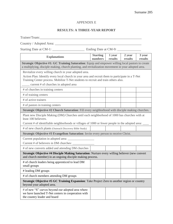#### APPENDIX E

#### **RESULTS: A THREE-YEAR REPORT**

| Trainer/Team:                                                                                                                                                                                                                                   |                            |                   |                   |                   |
|-------------------------------------------------------------------------------------------------------------------------------------------------------------------------------------------------------------------------------------------------|----------------------------|-------------------|-------------------|-------------------|
| Country / Adopted Area:                                                                                                                                                                                                                         |                            |                   |                   |                   |
|                                                                                                                                                                                                                                                 |                            |                   |                   |                   |
| <b>Explanations</b>                                                                                                                                                                                                                             | <b>Starting</b><br>numbers | 1 year<br>results | 2 year<br>results | 3 year<br>results |
| Strategic Objective #1: GC Training Saturation: Equip and empower willing local pastors to create<br>a multiplying, disciple making, church planting, and revitalization movement in your adopted area.                                         |                            |                   |                   |                   |
| Revitalize every willing church in your adopted area.<br>Action Plan: Identify every local church in your area and recruit them to participate in a T-Net<br>Training Center process. Mobilize T-Net students to recruit and train others also. |                            |                   |                   |                   |
| current # of churches in adopted area                                                                                                                                                                                                           |                            |                   |                   |                   |
| # of churches in training centers                                                                                                                                                                                                               |                            |                   |                   |                   |
| # of training centers                                                                                                                                                                                                                           |                            |                   |                   |                   |
| # of active trainers                                                                                                                                                                                                                            |                            |                   |                   |                   |
| # of pastors in training centers                                                                                                                                                                                                                |                            |                   |                   |                   |
| Strategic Objective #2 Church Saturation: Fill every neighborhood with disciple making churches.                                                                                                                                                |                            |                   |                   |                   |
| Plant new Disciple Making (DM) Churches until each neighborhood of 1000 has churches with at<br>least 100 believers.<br>Current # of identifiable neighborhoods or villages of 1000 or fewer people in the adopted area: ___                    |                            |                   |                   |                   |
| # of new church plants (Outreach Discovery Bible Study)                                                                                                                                                                                         |                            |                   |                   |                   |
| Strategic Objective #3 Evangelism Saturation: Invite every person to receive Christ.                                                                                                                                                            |                            |                   |                   |                   |
|                                                                                                                                                                                                                                                 |                            |                   |                   |                   |
| # of new converts added and attending DM churches                                                                                                                                                                                               |                            |                   |                   |                   |
| Strategic Objective #4 Disciple Making Saturation: Nurture every willing believer (new convert<br>and church member) in an ongoing disciple making process.                                                                                     |                            |                   |                   |                   |
| # of church leaders being apprenticed to lead DM<br>small groups                                                                                                                                                                                |                            |                   |                   |                   |
| # leading DM groups                                                                                                                                                                                                                             |                            |                   |                   |                   |
| # of church members attending DM groups                                                                                                                                                                                                         |                            |                   |                   |                   |
| Strategic Objective #5 GC Training Expansion: Take Project Zero to another region or country<br>beyond your adopted area.                                                                                                                       |                            |                   |                   |                   |
| # of new "S" curves beyond our adopted area where<br>we have launched T-Net centers in cooperation with<br>the country leader and board                                                                                                         |                            |                   |                   |                   |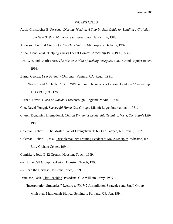#### WORKS CITED

Adsit, Christopher B. *Personal Disciple-Making: A Step-by-Step Guide for Leading a Christian from New Birth to Maturity*. San Bernardino: Here's Life, 1988.

Anderson, Leith. *A Church for the 21st Century*. Minneapolis: Bethany, 1992.

Appel, Gene, et al. "Helping Guests Feel at Home" *Leadership* 19.3 (1998): 53-56.

Arn, Win, and Charles Arn. *The Master's Plan of Making Disciples*. 1982. Grand Rapids: Baker, 1998.

Barna, George. *User Friendly Churches*. Ventura, CA: Regal, 1991.

Bird, Warren, and Michelle C. Bird. "When Should Newcomers Become Leaders?" *Leadership* 11.4 (1990): 90-128.

Burnett, David. *Clash of Worlds*. Crowborough, England: MARC, 1990.

- Cho, David Yonggi. *Successful Home Cell Groups*. Miami: Logos International, 1981.
- Church Dynamics International. *Church Dynamics Leadership Training*. Vista, CA: Here's Life, 1986.

Coleman, Robert E. The Master Plan of Evangelism. 1963. Old Tappen, NJ: Revell, 1987.

- Coleman, Robert E., et al. Disciplemaking: Training Leaders to Make Disciples. Wheaton, IL: Billy Graham Center, 1994.
- Comiskey, Joel. G-12 Groups. Houston: Touch, 1999.
- ---. Home Cell Group Explosion. Houston: Touch, 1998.
- ---. Reap the Harvest. Houston: Touch, 1999.
- Dennison, Jack. City Reaching. Pasadena, CA: William Carey, 1999.
- ---. "Incorporation Strategies." Lecture to PM742 Assimilation Strategies and Small Group Ministries. Multnomah Biblical Seminary. Portland, OR. Jan. 1994.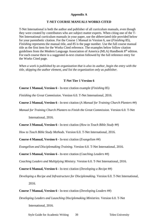#### **Appendix A**

#### **T-NET COURSE MANUALS WORKS CITED**

T-Net International is both the author and publisher of all curriculum manuals, even though they were created by contributors who are subject matter experts. When citing one of the T-Net International curriculum manuals in your paper, use the abbreviated title provided below for your parenthetic citation. For the Course 1 Manual in Version 6, use (*Finishing* 85), *Finishing* represents the manual title, and 85 is the page number. Use the full course manual title as the first item for the Works Cited reference. The examples below follow citation guidelines from the Modern Language Association of America (MLA) Handbook 8th edition. For each course there is a suggested in-text citation followed by the full reference entry for the Works Cited page.

*When a work is published by an organization that is also its author, begin the entry with the title, skipping the author element, and list the organization only as publisher.* 

#### **T-Net Tier 1 Version 6**

**Course 1 Manual, Version 6** - In-text citation example (*Finishing* 85)

*Finishing the Great Commission*. Version 6.0. T-Net International, 2016.

**Course 2 Manual, Version 6** - In-text citation (*A Manual for Training Church Planters* ##)

*Manual for Training Church Planters to Finish the Great Commission.* Version 6.0. T-Net

International, 2016.

**Course 3 Manual, Version 6** - In-text citation (*How to Teach Bible Study* ##)

*How to Teach Bible Study Methods*. Version 6.0. T-Net International, 2016.

**Course 4 Manual, Version 6** - In-text citation (*Evangelism* ##)

*Evangelism and Disciplemaking Training*. Version 6.0. T-Net International, 2016.

**Course 5 Manual, Version 6** - In-text citation (*Coaching Leaders* ##)

*Coaching Leaders and Multiplying Ministry*. Version 6.0. T-Net International, 2016.

**Course 6 Manual, Version 6** - In-text citation (*Developing a Recipe* ##)

*Developing a Recipe and Infrastructure for Disciplemaking*. Version 6.0. T-Net International, 2016.

**Course 7 Manual, Version 6** - In-text citation (*Developing Leaders* ##)

*Developing Leaders and Launching Disciplemaking Ministries*. Version 6.0. T-Net

International, 2016.

Style Guide for Academic Writing 39 Teleo University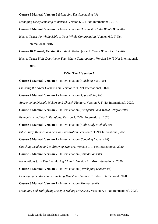#### **Course 8 Manual, Version 6** (*Managing Disciplemaking* ##)

*Managing Disciplemaking Ministries*. Version 6.0. T-Net International, 2016.

**Course 9 Manual, Version 6** - In-text citation (*How to Teach the Whole Bible* ##) *How to Teach the Whole Bible to Your Whole Congregation*. Version 6.0. T-Net International, 2016.

**Course 10 Manual, Version 6** - In-text citation (*How to Teach Bible Doctrine* ##)

*How to Teach Bible Doctrine to Your Whole Congregation*. Version 6.0. T-Net International, 2016.

#### **T-Net Tier 1 Version 7**

**Course 1 Manual, Version 7** - In-text citation (*Finishing* Ver 7 ##)

*Finishing the Great Commission*. Version 7. T-Net International, 2020.

**Course 2 Manual, Version 7** - In-text citation (*Apprenticing* ##)

*Apprenticing Disciple Makers and Church Planters.* Version 7. T-Net International, 2020.

**Course 3 Manual, Version 7** - In-text citation (*Evangelism and World Religions* ##)

*Evangelism and World Religions*. Version 7. T-Net International, 2020.

**Course 4 Manual, Version 7** - In-text citation (*Bible Study Methods* ##)

*Bible Study Methods and Sermon Preparation*. Version 7. T-Net International, 2020.

**Course 5 Manual, Version 7** - In-text citation (*Coaching Leaders* ##)

*Coaching Leaders and Multiplying Ministry*. Version 7. T-Net International, 2020.

**Course 6 Manual, Version 7** - In-text citation (*Foundations* ##)

*Foundations for a Disciple Making Church*. Version 7. T-Net International, 2020.

**Course 7 Manual, Version 7** - In-text citation (*Developing Leaders* ##)

*Developing Leaders and Launching Ministries*. Version 7. T-Net International, 2020.

**Course 8 Manual, Version 7** - In-text citation (*Managing* ##)

*Managing and Multiplying Disciple Making Ministries*. Version 7. T-Net International, 2020.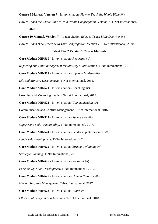**Course 9 Manual, Version 7** - In-text citation (*How to Teach the Whole Bible* ##)

*How to Teach the Whole Bible to Your Whole Congregation*. Version 7. T-Net International, 2020.

**Course 10 Manual, Version 7** - In-text citation (*How to Teach Bible Doctrine* ##)

*How to Teach Bible Doctrine to Your Congregation*. Version 7. T-Net International, 2020.

#### **T-Net Tier 2 Version 1 Course Manuals**

**Core Module MIN510** - In-text citation (*Reporting* ##)

*Reporting and Data Management for Ministry Multiplication*. T-Net International, 2015.

**Core Module MIN511** - In-text citation (*Life and Ministry* ##)

*Life and Ministry Development*. T-Net International, 2015.

**Core Module MIN521** - In-text citation (Coaching ##)

Coaching and Mentoring Leaders. T-Net International, 2015.

**Core Module MIN522** - In-text citation (*Communication* ##)

Communication and Conflict Management. T-Net International, 2016.

**Core Module MIN523** - In-text citation (*Supervision* ##)

*Supervision and Accountability*. T-Net International, 2016.

**Core Module MIN524** - In-text citation (*Leadership Development* ##)

*Leadership Development*. T-Net International, 2016

**Core Module MIN625** - In-text citation (*Strategic Planning* ##)

*Strategic Planning*. T-Net International, 2018.

**Core Module MIN626** - In-text citation (*Personal* ##)

*Personal Spiritual Development*. T-Net International, 2017.

**Core Module MIN627** - In-text citation (*Human Resource* ##)

*Human Resource Management*. T-Net International, 2017.

**Core Module MIN628** - In-text citation (*Ethics* ##)

*Ethics in Ministry and Partnerships*. T-Net International, 2018.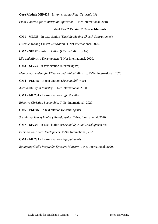#### **Core Module MIN629** - In-text citation (*Final Tutorials* ##)

*Final Tutorials for Ministry Multiplication*. T-Net International, 2018.

#### **T-Net Tier 2 Version 2 Course Manuals**

**CM1 - ML733** - In-text citation (*Disciple Making Church Saturation* ##)

*Disciple Making Church Saturation*. T-Net International, 2020.

**CM2 – SF752** - In-text citation (*Life and Ministry* ##)

*Life and Ministry Development*. T-Net International, 2020.

**CM3 – SF753** - In-text citation (*Mentoring* ##)

*Mentoring Leaders for Effective and Ethical Ministry*. T-Net International, 2020.

**CM4 – PM745** - In-text citation (*Accountability* ##)

*Accountability in Ministry*. T-Net International, 2020.

**CM5 – ML734** - In-text citation (*Effective* ##)

*Effective Christian Leadership*. T-Net International, 2020.

**CM6 – PM746** - In-text citation (*Sustaining* ##)

*Sustaining Strong Ministry Relationships*. T-Net International, 2020.

**CM7 – SF754** - In-text citation (*Personal Spiritual Development* ##)

*Personal Spiritual Development*. T-Net International, 2020.

**CM8 – ML735** - In-text citation (*Equipping* ##)

*Equipping God's People for Effective Ministry*. T-Net International, 2020.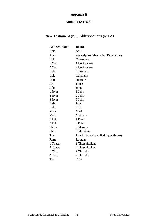### **Appendix B**

#### **ABBREVIATIONS**

### **New Testament (NT) Abbreviations (MLA)**

| <b>Abbreviation:</b> | <b>Book:</b>                        |
|----------------------|-------------------------------------|
| Acts                 | Acts                                |
| Apoc.                | Apocalypse (also called Revelation) |
| Col.                 | Colossians                          |
| 1 Cor.               | 1 Corinthians                       |
| 2 Cor.               | 2 Corinthians                       |
| Eph.                 | Ephesians                           |
| Gal.                 | Galatians                           |
| Heb.                 | <b>Hebrews</b>                      |
| Jas.                 | James                               |
| John                 | John                                |
| 1 John               | 1 John                              |
| 2 John               | 2 John                              |
| 3 John               | 3 John                              |
| Jude                 | Jude                                |
| Luke                 | Luke                                |
| Mark                 | Mark                                |
| Matt.                | Matthew                             |
| 1 Pet.               | 1 Peter                             |
| 2 Pet.               | 2 Peter                             |
| Philem.              | Philemon                            |
| Phil.                | Philippians                         |
| Rev.                 | Revelation (also called Apocalypse) |
| Rom.                 | Romans                              |
| 1 Thess.             | 1 Thessalonians                     |
| 2 Thess.             | 2 Thessalonians                     |
| 1 Tim.               | 1 Timothy                           |
| 2 Tim.               | 2 Timothy                           |
| Tit.                 | Titus                               |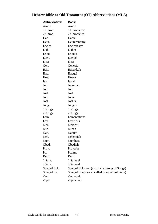### **Hebrew Bible or Old Testament (OT) Abbreviations (MLA)**

| <b>Abbreviation:</b> | <b>Book:</b>                                |
|----------------------|---------------------------------------------|
| Amos                 | Amos                                        |
| 1 Chron.             | 1 Chronicles                                |
| 2 Chron.             | 2 Chronicles                                |
| Dan.                 | Daniel                                      |
| Deut.                | Deuteronomy                                 |
| Eccles.              | Ecclesiastes                                |
| Esth.                | Esther                                      |
| Exod.                | Exodus                                      |
| Ezek.                | Ezekiel                                     |
| Ezra                 | Ezra                                        |
| Gen.                 | Genesis                                     |
| Hab.                 | Habakkuk                                    |
| Hag.                 | Haggai                                      |
| Hos.                 | Hosea                                       |
| Isa.                 | Isaiah                                      |
| Jer.                 | Jeremiah                                    |
| Job                  | Job                                         |
| Joel                 | Joel                                        |
| Jon.                 | Jonah                                       |
| Josh.                | Joshua                                      |
| Judg.                | Judges                                      |
| 1 Kings              | 1 Kings                                     |
| 2 Kings              | 2 Kings                                     |
| Lam.                 | Lamentations                                |
| Lev.                 | Leviticus                                   |
| Mal.                 | Malachi                                     |
| Mic.                 | Micah                                       |
| Nah.                 | Nahum                                       |
| Neh.                 | Nehemiah                                    |
| Num.                 | <b>Numbers</b>                              |
| Obad.                | Obadiah                                     |
| Prov.                | Proverbs                                    |
| Ps.                  | Psalms                                      |
| Ruth                 | Ruth                                        |
| 1 Sam.               | 1 Samuel                                    |
| 2 Sam.               | 2 Samuel                                    |
| Song of Sol.         | Song of Solomon (also called Song of Songs) |
| Song of Sg.          | Song of Songs (also called Song of Solomon) |
| Zech.                | Zechariah                                   |
| Zeph.                | Zephaniah                                   |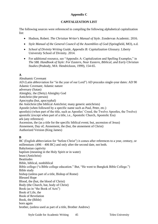#### **Appendix C**

#### **CAPITALIZATION LIST**

The following sources were referenced in compiling the following alphabetical capitalization list:

- Hudson, Robert. *The Christian Writer's Manual of Style*. Zondervan Academic. 2016.
- *Style Manual of the General Council of the Assemblies of God (Springfield, MO), n.d.*
- *School of Divinity Writing Guide, Appendix B: Capitalization Glossary.* Liberty University School of Divinity. 2014.
- For additional resource, see "Appendix A: Capitalization and Spelling Examples," in *The SBL Handbook of Style: For Eastern, Near Eastern, Biblical, and Early Christian Studies* (Peabody, MA: Hendrickson, 1999), 154-65.

#### **A**

Abrahamic Covenant AD (Latin abbreviation for "in the year of our Lord") AD precedes single-year dates: AD 90 Adamic Covenant; Adamic nature adversary (Satan) Almighty, the (Deity) Almighty God Antichrist (the person) Apocrypha (but, apocryphal) the Antichrist (the biblical Antichrist; many generic antichrists) Apostle (when followed by a specific name such as Paul, Peter, etc.) apostle(s) (when part of the title, such as Apostles' Creed, the Twelve Apostles, the Twelve) apostolic (except when part of a title, i.e., Apostolic Church, Apostolic Era) ark (any reference) Ascension, the (as a title for the specific biblical event; but, ascension of Jesus) Atonement, Day of; Atonement, the (but, the atonement of Christ) Authorized Version (King James)

#### **B**

BC (English abbreviation for "before Christ") it comes after references to a year, century, or millennium: (496 – 406 BC) and only after the second date, not both. Babylonian captivity baptism (meaning in the Holy Spirit or in water) beast (Antichrist) **Beatitudes** Bible, biblical, nonbiblical Bible college ("a Bible college education." But, "He went to Bangkok Bible College.") Bible study bishop (unless part of a title, Bishop of Rome) Blessed Hope Blood, the (but, the blood of Christ) Body (the Church, but, body of Christ) Book (as in "the Book of Acts") Book of Life, the Book of Revelation Book, the (Bible) born again brother, (unless used as part of a title, Brother Andrew)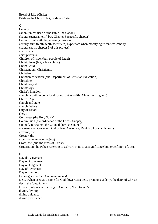Bread of Life (Christ) Bride – (the Church, but, bride of Christ)

#### **C**

Calvary canon (unless used of the Bible, the Canon) chapter (general term) but, Chapter 6 (specific chapter) Catholic (but, catholic, meaning universal) century, first (ninth, tenth, twentieth) hyphenate when modifying: twentieth-century chapter (as in, chapter 5 of this project) charismatic chief priest(s) Children of Israel (but, people of Israel) Christ, Jesus (but, a false christ) Christ Child Christendom, Christianity Christian Christian education (but, Department of Christian Education) Christlike Christological Christology Christ's kingdom church (a building or a local group, but as a title, Church of England) Church Age church and state church fathers City of David clergy Comforter (the Holy Spirit) Communion (the ordinance of the Lord's Supper) Council, Jerusalem, the Council (Jewish Council) covenant (but Covenant: Old or New Covenant, Davidic, Abrahamic, etc.) creation, the Creator, the cross, a (the wooden object) Cross, the (but, the cross of Christ) Crucifixion, the (when referring to Calvary in its total significance but, crucifixion of Jesus)

#### **D**

Davidic Covenant Day of Atonement Day of Judgment Day of Pentecost Day of the Lord Decalogue (the Ten Commandments) Deity (when used as a name for God; lowercase: deity pronouns, a deity, the deity of Christ) devil, the (but, Satan) Divine (only when referring to God, i.e., "the Divine") divine, divinity divine guidance divine providence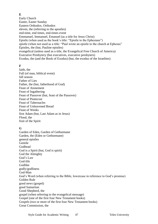#### **E**

Early Church Easter, Easter Sunday Eastern Orthodox, Orthodox eleven, the (referring to the apostles) end-time, end times, end-times event Emmanuel, Immanuel, Emanuel (as a title for Jesus Christ) Epistle (when used as the book's title: "Epistle to the Ephesians") epistle (when not used as a title: "Paul wrote an epistle to the church at Ephesus" Epistles, the (but, Pauline epistles) evangelical (unless used as a title, the Evangelical Free Church of America) Executive Presbytery (but executives, executive presbyters) Exodus, the (and the Book of Exodus) (but, the exodus of the Israelites)

#### **F**

faith, the Fall (of man, biblical event) fall season Father of Lies Father, the (but, fatherhood of God) Feast of Atonement Feast of Ingathering Feast of Passover (but, feast of the Passover) Feast of Pentecost Feast of Tabernacles Feast of Unleavened Bread Feast of Weeks first Adam (but, Last Adam as in Jesus) Flood, the fruit of the Spirit

#### **G**

Garden of Eden, Garden of Gethsemane Garden, the (Eden or Gethsemane) general epistles **Gentile** Godhead God is a Spirit (but, God is spirit) God the Almighty God's Law God-life Godlike godly/godliness God-Man God's Word (when referring to the Bible, lowercase in reference to God's promise) Golden Rule good news (gospel) good Samaritan Good Shepherd, the gospel (when referring to the evangelical message) Gospel (one of the first four New Testament books) Gospels (two or more of the first four New Testament books) Great Commission, the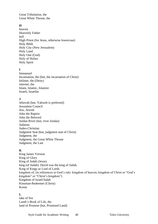Great Tribulation, the Great White Throne, the

#### **H**

heaven Heavenly Father hell High Priest (for Jesus, otherwise lowercase) Holy Bible Holy City (New Jerusalem) Holy Land Holy One (God) Holy of Holies Holy Spirit

#### **I**

Immanuel Incarnation, the (but, the incarnation of Christ) Infinite, the (Deity) internet, the Islam, Islamic, Islamist Israeli, Israelite

#### **J**

Jehovah (but, Yahweh is preferred) Jerusalem Council Jew, Jewish John the Baptist John the Beloved Jordan River (but, river Jordan) Judaism Judeo-Christian Judgment Seat (but, judgment seat of Christ) Judgment, the Judgment, the Great White Throne Judgment, the Last

#### **K**

King James Version King of Glory King of Judah (Jesus) king (of Judah): David was the king of Judah. King of Kings or Lord of Lords kingdom of, (in references to God's rule: kingdom of heaven, kingdom of Christ or "God's kingdom" or "Christ's kingdom") Kingdom of Israel/Judah Kinsman-Redeemer (Christ) Koran

#### **L**

lake of fire Lamb's Book of Life, the land of Promise (but, Promised Land)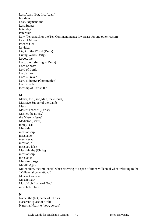Last Adam (but, first Adam) last days Last Judgment, the Last Supper latter day latter rain Law (Pentateuch or the Ten Commandments; lowercase for any other reason) Law of Moses laws of God Levitical Light of the World (Deity) Living Word (Deity) Logos, the Lord, the (referring to Deity) Lord of hosts Lord of Lords Lord's Day Lord's Prayer Lord's Supper (Communion) Lord's table lordship of Christ, the

#### **M**

Maker, the (God)Man, the (Christ) Marriage Supper of the Lamb Mass Master Teacher (Christ) Master, the (Deity) the Master (Jesus) Mediator (Christ) mercy seat Messiah messiahship messianic mercy seat messiah, a messiah, false Messiah, the (Christ) messiahship messianic Messianic Age Middle Ages Millennium, the (millennial when referring to a span of time; Millennial when referring to the "Millennial generation.") Mosaic Covenant Mosaic Law Most High (name of God) most holy place

#### **N**

Name, the (but, name of Christ) Nazarene (place of birth) Nazarite, Nazirite (vow, person)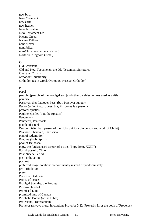new birth New Covenant new earth new heaven New Jerusalem New Testament Era Nicene Creed Nicene Fathers nonbeliever nonbiblical non-Christian (but, unchristian) Northern Kingdom (Israel)

#### **O**

Old Covenant Old and New Testaments, the Old Testament Scriptures One, the (Christ) orthodox Christianity Orthodox (as in Greek Orthodox, Russian Orthodox)

#### **P**

papal parable, (parable of the prodigal son [and other parables] unless used as a title paradise Passover, the; Passover Feast (but, Passover supper) Pastor (as in: Pastor Jones, but, Mr. Jones is a pastor.) pastoral epistles Pauline epistles (but, the Epistles) Pentateuch Pentecost, Pentecostal people of Israel Person (Deity; but, person of the Holy Spirit or the person and work of Christ) Pharisee, Pharisaic, Pharisaical plan of redemption Pneuma (Holy Spirit) pool of Bethesda pope, the (unless used as part of a title, "Pope John, XXIII") Post-Apostolic Church Post-Nicene Period post-Tribulation posttest preferred usage notation: predominantly instead of predominately pre-Tribulation pretest Prince of Darkness Prince of Peace Prodigal Son, the; the Prodigal Promise, land of Promised Land promised land of Canaan Prophetic Books (of the Bible) Protestant, Protestantism Proverbs (always plural in citations Proverbs 3:12; Proverbs 31 or the book of Proverbs)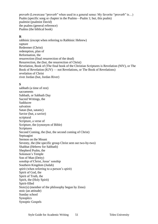proverb (Lowercase "proverb" when used in a general sense: My favorite "proverb" is…) Psalm (specific song or chapter in the Psalms—Psalm 1; but, this psalm) psalmist (psalmist David) the psalms (general reference) Psalms (the biblical book)

#### **R**

rabbinic (except when referring to Rabbinic Hebrew) rapture Redeemer (Christ) redemption, plan of Reformation, the resurrection (final resurrection of the dead) Resurrection, the (but, the resurrection of Christ) Revelation, Book of (The final book of the Christian Scriptures is Revelation (NIV), or The Book of Revelation (KJV) — not Revelations, or The Book of Revelations) revelation of Christ river Jordan (but, Jordan River)

#### **S**

sabbath (a time of rest) sacraments Sabbath, or Sabbath Day Sacred Writings, the Sadducee salvation Satan (but, satanic) Savior (but, a savior) scriptural Scripture, a verse of Scripture, the (synonym of Bible) Scriptures Second Coming, the (but, the second coming of Christ) Septuagint Sermon on the Mount Seventy, the (the specific group Christ sent out two-by-two) Shabbat (Hebrew for Sabbath) Shepherd Psalm, the Solomon's Temple Son of Man (Deity) sonship of Christ, Jesus' sonship Southern Kingdom (Judah) spirit (when referring to a person's spirit) Spirit of God, the Spirit of Truth, the Spirit, the (Holy Spirit) Spirit-filled Stoic(s) (member of the philosophy begun by Zeno) stoic (an attitude) Sunday school Synoptics Synoptic Gospels